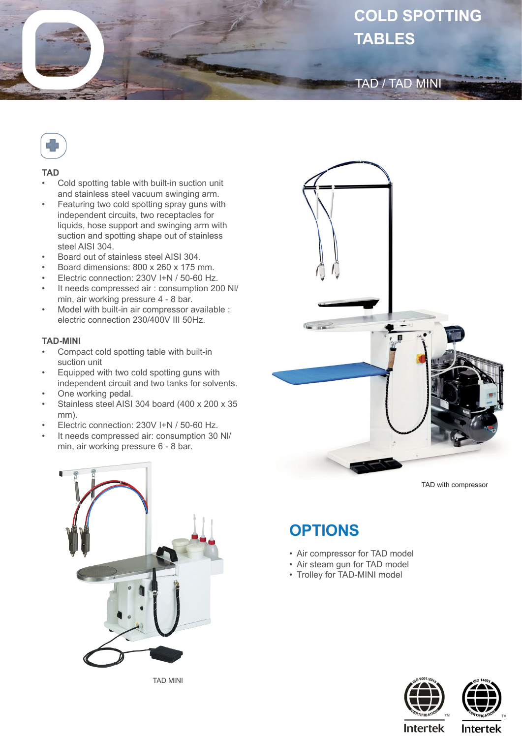# **COLD SPOTTING TABLES**

### TAD / TAD MINI



#### **TAD**

- Cold spotting table with built-in suction unit and stainless steel vacuum swinging arm.
- Featuring two cold spotting spray guns with independent circuits, two receptacles for liquids, hose support and swinging arm with suction and spotting shape out of stainless steel AISI 304.
- Board out of stainless steel AISI 304.
- Board dimensions: 800 x 260 x 175 mm.
- Electric connection: 230V I+N / 50-60 Hz.
- It needs compressed air : consumption 200 Nl/ min, air working pressure 4 - 8 bar.
- Model with built-in air compressor available : electric connection 230/400V III 50Hz.

#### **TAD-MINI**

- Compact cold spotting table with built-in suction unit
- Equipped with two cold spotting guns with independent circuit and two tanks for solvents.
- One working pedal.
- Stainless steel AISI 304 board (400 x 200 x 35 mm).
- Electric connection: 230V I+N / 50-60 Hz.
- It needs compressed air: consumption 30 Nl/ min, air working pressure 6 - 8 bar.



TAD MINI



TAD with compressor

## **OPTIONS**

- Air compressor for TAD model
- Air steam gun for TAD model
- Trolley for TAD-MINI model